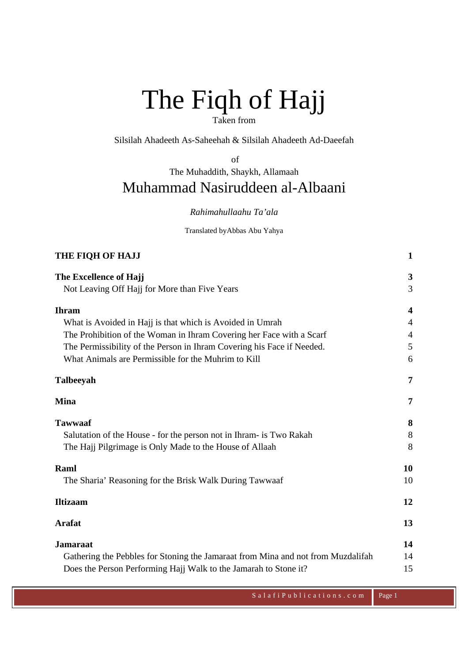# The Fiqh of Hajj Taken from

Silsilah Ahadeeth As-Saheehah & Silsilah Ahadeeth Ad-Daeefah

of

The Muhaddith, Shaykh, Allamaah

# Muhammad Nasiruddeen al-Albaani

*Rahimahullaahu Ta'ala* 

Translated byAbbas Abu Yahya

| THE FIQH OF HAJJ                                                                 | 1                       |
|----------------------------------------------------------------------------------|-------------------------|
| The Excellence of Hajj                                                           | 3                       |
| Not Leaving Off Hajj for More than Five Years                                    | 3                       |
| <b>Ihram</b>                                                                     | $\overline{\mathbf{4}}$ |
| What is Avoided in Hajj is that which is Avoided in Umrah                        | 4                       |
| The Prohibition of the Woman in Ihram Covering her Face with a Scarf             | $\overline{4}$          |
| The Permissibility of the Person in Ihram Covering his Face if Needed.           | 5                       |
| What Animals are Permissible for the Muhrim to Kill                              | 6                       |
| Talbeeyah                                                                        | 7                       |
| <b>Mina</b>                                                                      | 7                       |
| <b>Tawwaaf</b>                                                                   | 8                       |
| Salutation of the House - for the person not in Ihram- is Two Rakah              | 8                       |
| The Hajj Pilgrimage is Only Made to the House of Allaah                          | 8                       |
| Raml                                                                             | 10                      |
| The Sharia' Reasoning for the Brisk Walk During Tawwaaf                          | 10                      |
| <b>Iltizaam</b>                                                                  | 12                      |
| <b>Arafat</b>                                                                    | 13                      |
| <b>Jamaraat</b>                                                                  | 14                      |
| Gathering the Pebbles for Stoning the Jamaraat from Mina and not from Muzdalifah | 14                      |
| Does the Person Performing Hajj Walk to the Jamarah to Stone it?                 | 15                      |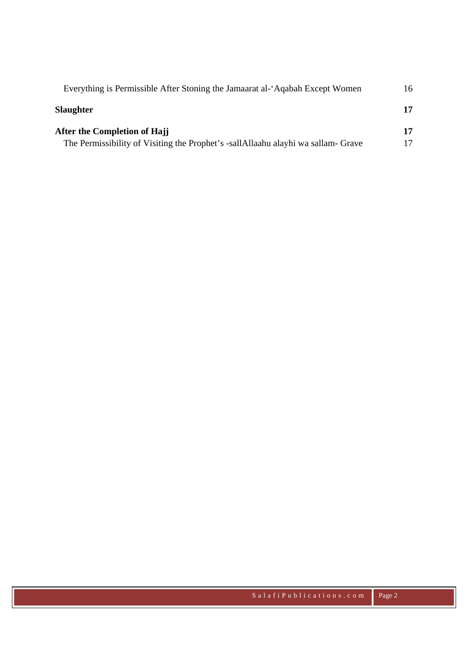| Everything is Permissible After Stoning the Jamaarat al-'Aqabah Except Women     | 16  |
|----------------------------------------------------------------------------------|-----|
| Slaughter                                                                        | 17  |
| After the Completion of Hajj                                                     | 17. |
| The Permissibility of Visiting the Prophet's -sallAllaahu alayhi wa sallam-Grave |     |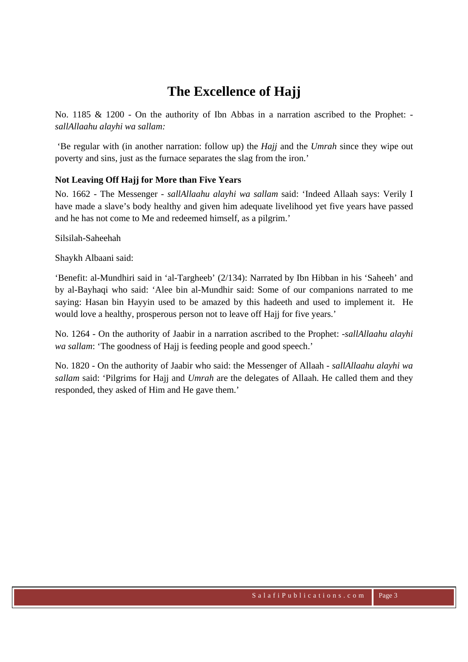# **The Excellence of Hajj**

No. 1185 & 1200 - On the authority of Ibn Abbas in a narration ascribed to the Prophet:  *sallAllaahu alayhi wa sallam:*

 'Be regular with (in another narration: follow up) the *Hajj* and the *Umrah* since they wipe out poverty and sins, just as the furnace separates the slag from the iron.'

#### **Not Leaving Off Hajj for More than Five Years**

No. 1662 - The Messenger *- sallAllaahu alayhi wa sallam* said: 'Indeed Allaah says: Verily I have made a slave's body healthy and given him adequate livelihood yet five years have passed and he has not come to Me and redeemed himself, as a pilgrim.'

Silsilah-Saheehah

Shaykh Albaani said:

'Benefit: al-Mundhiri said in 'al-Targheeb' (2/134): Narrated by Ibn Hibban in his 'Saheeh' and by al-Bayhaqi who said: 'Alee bin al-Mundhir said: Some of our companions narrated to me saying: Hasan bin Hayyin used to be amazed by this hadeeth and used to implement it. He would love a healthy, prosperous person not to leave off Hajj for five years.'

No. 1264 - On the authority of Jaabir in a narration ascribed to the Prophet: *-sallAllaahu alayhi wa sallam*: 'The goodness of Hajj is feeding people and good speech.'

No. 1820 - On the authority of Jaabir who said: the Messenger of Allaah *- sallAllaahu alayhi wa sallam* said: 'Pilgrims for Hajj and *Umrah* are the delegates of Allaah. He called them and they responded, they asked of Him and He gave them.'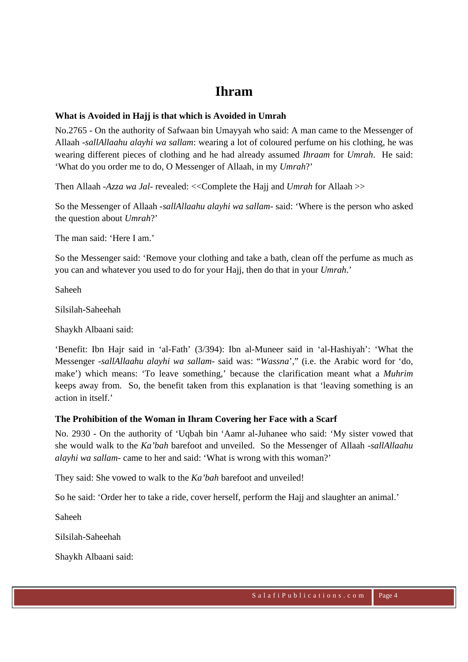### **Ihram**

#### **What is Avoided in Hajj is that which is Avoided in Umrah**

No.2765 - On the authority of Safwaan bin Umayyah who said: A man came to the Messenger of Allaah *-sallAllaahu alayhi wa sallam*: wearing a lot of coloured perfume on his clothing, he was wearing different pieces of clothing and he had already assumed *Ihraam* for *Umrah*. He said: 'What do you order me to do, O Messenger of Allaah, in my *Umrah*?'

Then Allaah *-Azza wa Jal-* revealed: <<Complete the Hajj and *Umrah* for Allaah >>

So the Messenger of Allaah *-sallAllaahu alayhi wa sallam-* said: 'Where is the person who asked the question about *Umrah*?'

The man said: 'Here I am'

So the Messenger said: 'Remove your clothing and take a bath, clean off the perfume as much as you can and whatever you used to do for your Hajj, then do that in your *Umrah*.'

Saheeh

Silsilah-Saheehah

Shaykh Albaani said:

'Benefit: Ibn Hajr said in 'al-Fath' (3/394): Ibn al-Muneer said in 'al-Hashiyah': 'What the Messenger *-sallAllaahu alayhi wa sallam-* said was: "*Wassna*'," (i.e. the Arabic word for 'do, make') which means: 'To leave something,' because the clarification meant what a *Muhrim* keeps away from. So, the benefit taken from this explanation is that 'leaving something is an action in itself.'

### **The Prohibition of the Woman in Ihram Covering her Face with a Scarf**

No. 2930 - On the authority of 'Uqbah bin 'Aamr al-Juhanee who said: 'My sister vowed that she would walk to the *Ka'bah* barefoot and unveiled. So the Messenger of Allaah *-sallAllaahu alayhi wa sallam-* came to her and said: 'What is wrong with this woman?'

They said: She vowed to walk to the *Ka'bah* barefoot and unveiled!

So he said: 'Order her to take a ride, cover herself, perform the Hajj and slaughter an animal.'

Saheeh

Silsilah-Saheehah

Shaykh Albaani said: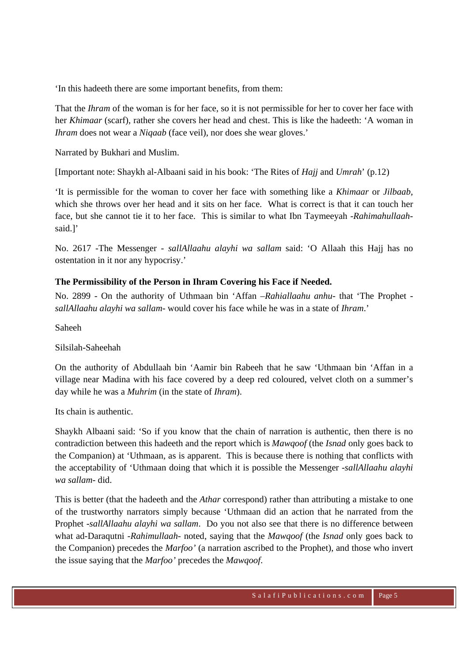'In this hadeeth there are some important benefits, from them:

That the *Ihram* of the woman is for her face, so it is not permissible for her to cover her face with her *Khimaar* (scarf), rather she covers her head and chest. This is like the hadeeth: 'A woman in *Ihram* does not wear a *Niqaab* (face veil), nor does she wear gloves.'

Narrated by Bukhari and Muslim.

[Important note: Shaykh al-Albaani said in his book: 'The Rites of *Hajj* and *Umrah*' (p.12)

'It is permissible for the woman to cover her face with something like a *Khimaar* or *Jilbaab*, which she throws over her head and it sits on her face. What is correct is that it can touch her face, but she cannot tie it to her face. This is similar to what Ibn Taymeeyah *-Rahimahullaah*said.]'

No. 2617 -The Messenger *- sallAllaahu alayhi wa sallam* said: 'O Allaah this Hajj has no ostentation in it nor any hypocrisy.'

#### **The Permissibility of the Person in Ihram Covering his Face if Needed.**

No. 2899 - On the authority of Uthmaan bin 'Affan *–Rahiallaahu anhu-* that 'The Prophet  *sallAllaahu alayhi wa sallam-* would cover his face while he was in a state of *Ihram*.'

Saheeh

#### Silsilah-Saheehah

On the authority of Abdullaah bin 'Aamir bin Rabeeh that he saw 'Uthmaan bin 'Affan in a village near Madina with his face covered by a deep red coloured, velvet cloth on a summer's day while he was a *Muhrim* (in the state of *Ihram*).

Its chain is authentic.

Shaykh Albaani said: 'So if you know that the chain of narration is authentic, then there is no contradiction between this hadeeth and the report which is *Mawqoof* (the *Isnad* only goes back to the Companion) at 'Uthmaan, as is apparent. This is because there is nothing that conflicts with the acceptability of 'Uthmaan doing that which it is possible the Messenger *-sallAllaahu alayhi wa sallam-* did.

This is better (that the hadeeth and the *Athar* correspond) rather than attributing a mistake to one of the trustworthy narrators simply because 'Uthmaan did an action that he narrated from the Prophet *-sallAllaahu alayhi wa sallam*. Do you not also see that there is no difference between what ad-Daraqutni *-Rahimullaah-* noted, saying that the *Mawqoof* (the *Isnad* only goes back to the Companion) precedes the *Marfoo'* (a narration ascribed to the Prophet), and those who invert the issue saying that the *Marfoo'* precedes the *Mawqoof*.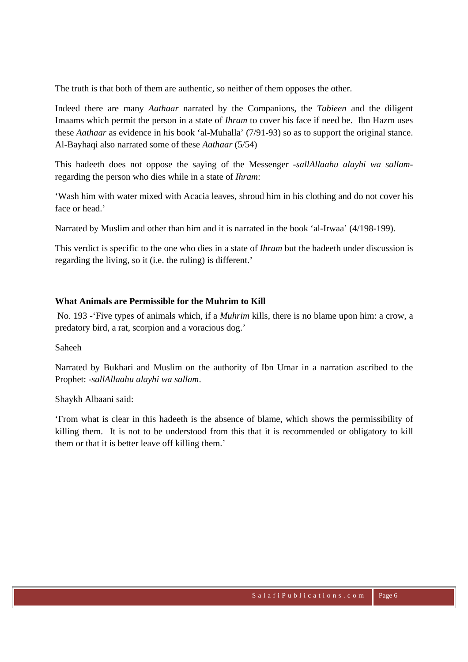The truth is that both of them are authentic, so neither of them opposes the other.

Indeed there are many *Aathaar* narrated by the Companions, the *Tabieen* and the diligent Imaams which permit the person in a state of *Ihram* to cover his face if need be. Ibn Hazm uses these *Aathaar* as evidence in his book 'al-Muhalla' (7/91-93) so as to support the original stance. Al-Bayhaqi also narrated some of these *Aathaar* (5/54)

This hadeeth does not oppose the saying of the Messenger *-sallAllaahu alayhi wa sallam*regarding the person who dies while in a state of *Ihram*:

'Wash him with water mixed with Acacia leaves, shroud him in his clothing and do not cover his face or head.'

Narrated by Muslim and other than him and it is narrated in the book 'al-Irwaa' (4/198-199).

This verdict is specific to the one who dies in a state of *Ihram* but the hadeeth under discussion is regarding the living, so it (i.e. the ruling) is different.'

#### **What Animals are Permissible for the Muhrim to Kill**

 No. 193 -'Five types of animals which, if a *Muhrim* kills, there is no blame upon him: a crow, a predatory bird, a rat, scorpion and a voracious dog.'

Saheeh

Narrated by Bukhari and Muslim on the authority of Ibn Umar in a narration ascribed to the Prophet: *-sallAllaahu alayhi wa sallam*.

Shaykh Albaani said:

'From what is clear in this hadeeth is the absence of blame, which shows the permissibility of killing them. It is not to be understood from this that it is recommended or obligatory to kill them or that it is better leave off killing them.'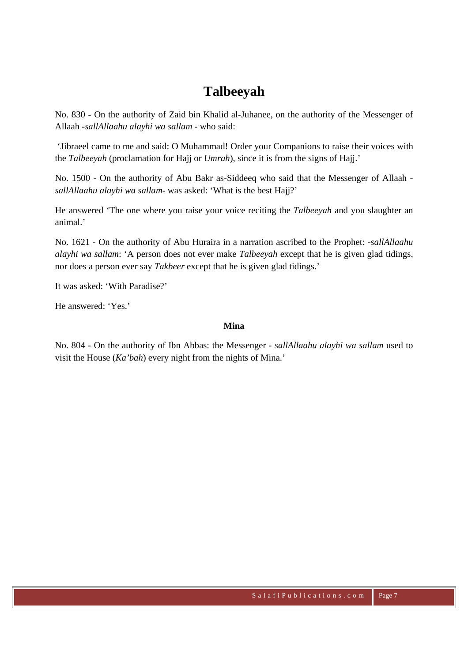## **Talbeeyah**

No. 830 - On the authority of Zaid bin Khalid al-Juhanee, on the authority of the Messenger of Allaah *-sallAllaahu alayhi wa sallam -* who said:

 'Jibraeel came to me and said: O Muhammad! Order your Companions to raise their voices with the *Talbeeyah* (proclamation for Hajj or *Umrah*), since it is from the signs of Hajj.'

No. 1500 - On the authority of Abu Bakr as-Siddeeq who said that the Messenger of Allaah  *sallAllaahu alayhi wa sallam-* was asked: 'What is the best Hajj?'

He answered 'The one where you raise your voice reciting the *Talbeeyah* and you slaughter an animal.'

No. 1621 - On the authority of Abu Huraira in a narration ascribed to the Prophet: *-sallAllaahu alayhi wa sallam*: 'A person does not ever make *Talbeeyah* except that he is given glad tidings, nor does a person ever say *Takbeer* except that he is given glad tidings.'

It was asked: 'With Paradise?'

He answered: 'Yes.'

#### **Mina**

No. 804 - On the authority of Ibn Abbas: the Messenger *- sallAllaahu alayhi wa sallam* used to visit the House (*Ka'bah*) every night from the nights of Mina.'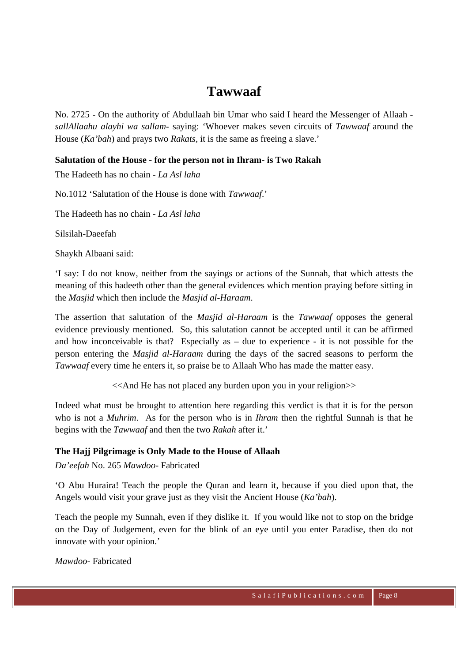### **Tawwaaf**

No. 2725 - On the authority of Abdullaah bin Umar who said I heard the Messenger of Allaah  *sallAllaahu alayhi wa sallam-* saying: 'Whoever makes seven circuits of *Tawwaaf* around the House (*Ka'bah*) and prays two *Rakats*, it is the same as freeing a slave.'

#### **Salutation of the House - for the person not in Ihram- is Two Rakah**

The Hadeeth has no chain - *La Asl laha*

No.1012 'Salutation of the House is done with *Tawwaaf*.'

The Hadeeth has no chain - *La Asl laha*

Silsilah-Daeefah

Shaykh Albaani said:

'I say: I do not know, neither from the sayings or actions of the Sunnah, that which attests the meaning of this hadeeth other than the general evidences which mention praying before sitting in the *Masjid* which then include the *Masjid al-Haraam*.

The assertion that salutation of the *Masjid al-Haraam* is the *Tawwaaf* opposes the general evidence previously mentioned. So, this salutation cannot be accepted until it can be affirmed and how inconceivable is that? Especially as  $-$  due to experience  $-$  it is not possible for the person entering the *Masjid al-Haraam* during the days of the sacred seasons to perform the *Tawwaaf* every time he enters it, so praise be to Allaah Who has made the matter easy.

<<And He has not placed any burden upon you in your religion>>

Indeed what must be brought to attention here regarding this verdict is that it is for the person who is not a *Muhrim*. As for the person who is in *Ihram* then the rightful Sunnah is that he begins with the *Tawwaaf* and then the two *Rakah* after it.'

#### **The Hajj Pilgrimage is Only Made to the House of Allaah**

*Da'eefah* No. 265 *Mawdoo*- Fabricated

'O Abu Huraira! Teach the people the Quran and learn it, because if you died upon that, the Angels would visit your grave just as they visit the Ancient House (*Ka'bah*).

Teach the people my Sunnah, even if they dislike it. If you would like not to stop on the bridge on the Day of Judgement, even for the blink of an eye until you enter Paradise, then do not innovate with your opinion.'

*Mawdoo*- Fabricated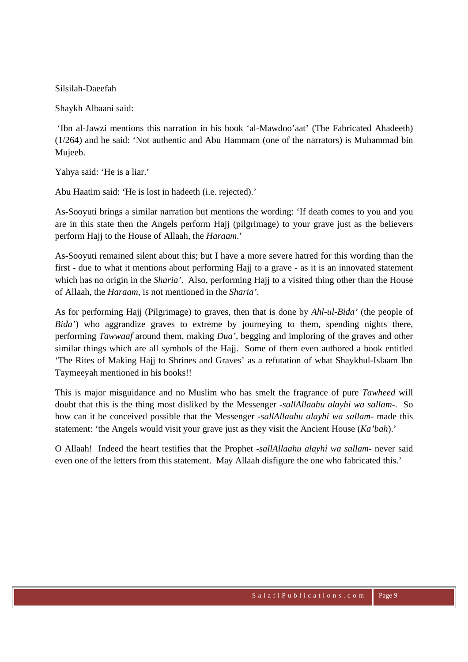#### Silsilah-Daeefah

Shaykh Albaani said:

 'Ibn al-Jawzi mentions this narration in his book 'al-Mawdoo'aat' (The Fabricated Ahadeeth) (1/264) and he said: 'Not authentic and Abu Hammam (one of the narrators) is Muhammad bin Mujeeb.

Yahya said: 'He is a liar.'

Abu Haatim said: 'He is lost in hadeeth (i.e. rejected).'

As-Sooyuti brings a similar narration but mentions the wording: 'If death comes to you and you are in this state then the Angels perform Hajj (pilgrimage) to your grave just as the believers perform Hajj to the House of Allaah, the *Haraam*.'

As-Sooyuti remained silent about this; but I have a more severe hatred for this wording than the first - due to what it mentions about performing Hajj to a grave - as it is an innovated statement which has no origin in the *Sharia'*. Also, performing Hajj to a visited thing other than the House of Allaah, the *Haraam*, is not mentioned in the *Sharia'*.

As for performing Hajj (Pilgrimage) to graves, then that is done by *Ahl-ul-Bida'* (the people of *Bida'*) who aggrandize graves to extreme by journeying to them, spending nights there, performing *Tawwaaf* around them, making *Dua'*, begging and imploring of the graves and other similar things which are all symbols of the Hajj. Some of them even authored a book entitled 'The Rites of Making Hajj to Shrines and Graves' as a refutation of what Shaykhul-Islaam Ibn Taymeeyah mentioned in his books!!

This is major misguidance and no Muslim who has smelt the fragrance of pure *Tawheed* will doubt that this is the thing most disliked by the Messenger *-sallAllaahu alayhi wa sallam-*. So how can it be conceived possible that the Messenger *-sallAllaahu alayhi wa sallam-* made this statement: 'the Angels would visit your grave just as they visit the Ancient House (*Ka'bah*).'

O Allaah! Indeed the heart testifies that the Prophet *-sallAllaahu alayhi wa sallam-* never said even one of the letters from this statement. May Allaah disfigure the one who fabricated this.'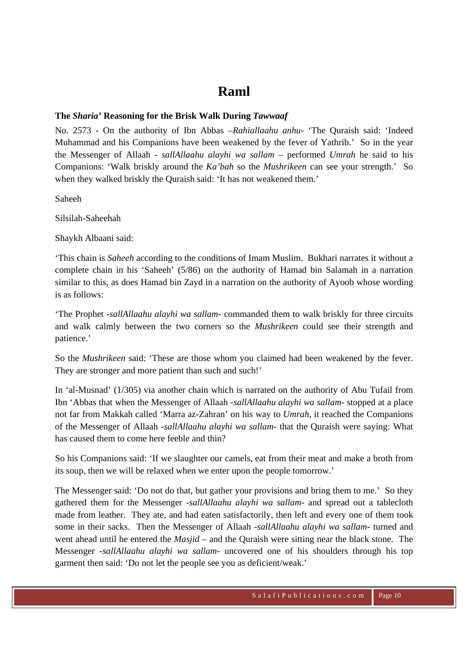### **Raml**

#### **The** *Sharia'* **Reasoning for the Brisk Walk During** *Tawwaaf*

No. 2573 - On the authority of Ibn Abbas *–Rahiallaahu anhu-* 'The Quraish said: 'Indeed Muhammad and his Companions have been weakened by the fever of Yathrib.' So in the year the Messenger of Allaah *- sallAllaahu alayhi wa sallam –* performed *Umrah* he said to his Companions: 'Walk briskly around the *Ka'bah* so the *Mushrikeen* can see your strength.' So when they walked briskly the Quraish said: 'It has not weakened them.'

Saheeh

Silsilah-Saheehah

Shaykh Albaani said:

'This chain is *Saheeh* according to the conditions of Imam Muslim. Bukhari narrates it without a complete chain in his 'Saheeh' (5/86) on the authority of Hamad bin Salamah in a narration similar to this, as does Hamad bin Zayd in a narration on the authority of Ayoob whose wording is as follows:

'The Prophet *-sallAllaahu alayhi wa sallam-* commanded them to walk briskly for three circuits and walk calmly between the two corners so the *Mushrikeen* could see their strength and patience.'

So the *Mushrikeen* said: 'These are those whom you claimed had been weakened by the fever. They are stronger and more patient than such and such!'

In 'al-Musnad' (1/305) via another chain which is narrated on the authority of Abu Tufail from Ibn 'Abbas that when the Messenger of Allaah *-sallAllaahu alayhi wa sallam-* stopped at a place not far from Makkah called 'Marra az-Zahran' on his way to *Umrah*, it reached the Companions of the Messenger of Allaah *-sallAllaahu alayhi wa sallam-* that the Quraish were saying: What has caused them to come here feeble and thin?

So his Companions said: 'If we slaughter our camels, eat from their meat and make a broth from its soup, then we will be relaxed when we enter upon the people tomorrow.'

The Messenger said: 'Do not do that, but gather your provisions and bring them to me.' So they gathered them for the Messenger *-sallAllaahu alayhi wa sallam-* and spread out a tablecloth made from leather. They ate, and had eaten satisfactorily, then left and every one of them took some in their sacks. Then the Messenger of Allaah *-sallAllaahu alayhi wa sallam-* turned and went ahead until he entered the *Masjid* – and the Quraish were sitting near the black stone. The Messenger *-sallAllaahu alayhi wa sallam-* uncovered one of his shoulders through his top garment then said: 'Do not let the people see you as deficient/weak.'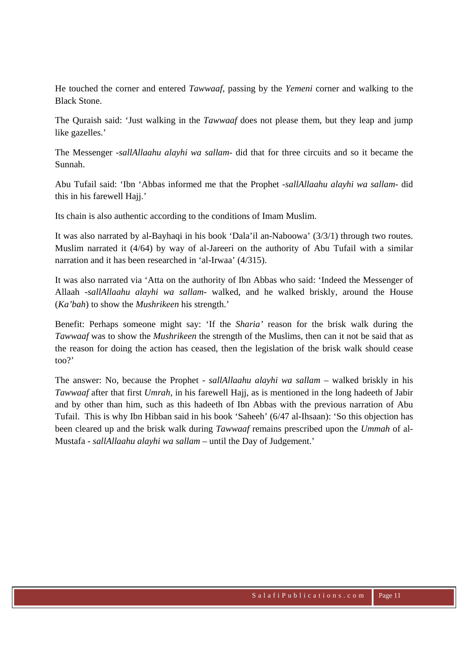He touched the corner and entered *Tawwaaf,* passing by the *Yemeni* corner and walking to the Black Stone.

The Quraish said: 'Just walking in the *Tawwaaf* does not please them, but they leap and jump like gazelles.'

The Messenger *-sallAllaahu alayhi wa sallam-* did that for three circuits and so it became the Sunnah.

Abu Tufail said: 'Ibn 'Abbas informed me that the Prophet *-sallAllaahu alayhi wa sallam-* did this in his farewell Haji.'

Its chain is also authentic according to the conditions of Imam Muslim.

It was also narrated by al-Bayhaqi in his book 'Dala'il an-Naboowa' (3/3/1) through two routes. Muslim narrated it (4/64) by way of al-Jareeri on the authority of Abu Tufail with a similar narration and it has been researched in 'al-Irwaa' (4/315).

It was also narrated via 'Atta on the authority of Ibn Abbas who said: 'Indeed the Messenger of Allaah *-sallAllaahu alayhi wa sallam-* walked, and he walked briskly, around the House (*Ka'bah*) to show the *Mushrikeen* his strength.'

Benefit: Perhaps someone might say: 'If the *Sharia'* reason for the brisk walk during the *Tawwaaf* was to show the *Mushrikeen* the strength of the Muslims, then can it not be said that as the reason for doing the action has ceased, then the legislation of the brisk walk should cease too?'

The answer: No, because the Prophet *- sallAllaahu alayhi wa sallam –* walked briskly in his *Tawwaaf* after that first *Umrah*, in his farewell Hajj, as is mentioned in the long hadeeth of Jabir and by other than him, such as this hadeeth of Ibn Abbas with the previous narration of Abu Tufail. This is why Ibn Hibban said in his book 'Saheeh' (6/47 al-Ihsaan): 'So this objection has been cleared up and the brisk walk during *Tawwaaf* remains prescribed upon the *Ummah* of al-Mustafa *- sallAllaahu alayhi wa sallam –* until the Day of Judgement.'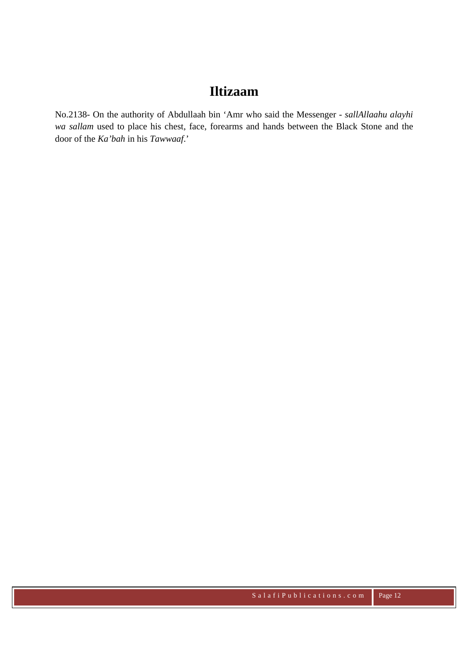### **Iltizaam**

No.2138- On the authority of Abdullaah bin 'Amr who said the Messenger *- sallAllaahu alayhi wa sallam* used to place his chest, face, forearms and hands between the Black Stone and the door of the *Ka'bah* in his *Tawwaaf*.'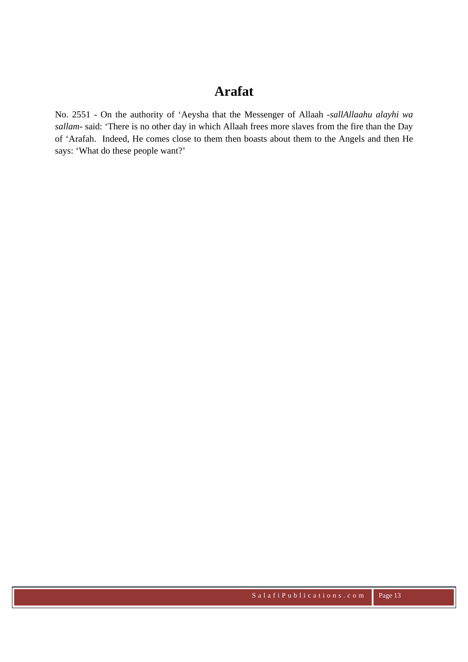### **Arafat**

No. 2551 - On the authority of 'Aeysha that the Messenger of Allaah *-sallAllaahu alayhi wa sallam-* said: 'There is no other day in which Allaah frees more slaves from the fire than the Day of 'Arafah. Indeed, He comes close to them then boasts about them to the Angels and then He says: 'What do these people want?'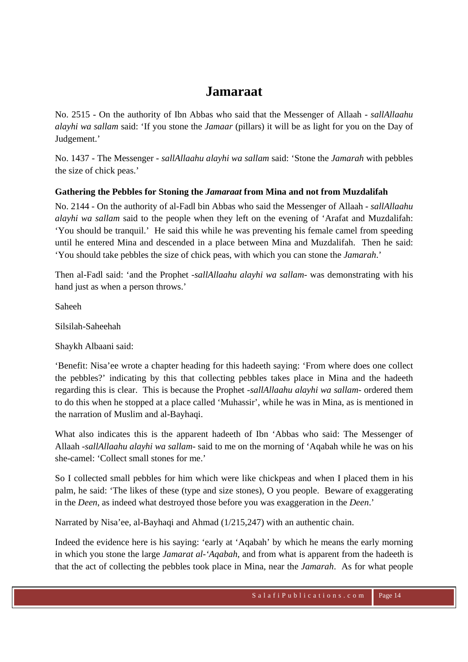### **Jamaraat**

No. 2515 - On the authority of Ibn Abbas who said that the Messenger of Allaah *- sallAllaahu alayhi wa sallam* said: 'If you stone the *Jamaar* (pillars) it will be as light for you on the Day of Judgement.'

No. 1437 - The Messenger *- sallAllaahu alayhi wa sallam* said: 'Stone the *Jamarah* with pebbles the size of chick peas.'

### **Gathering the Pebbles for Stoning the** *Jamaraat* **from Mina and not from Muzdalifah**

No. 2144 - On the authority of al-Fadl bin Abbas who said the Messenger of Allaah *- sallAllaahu alayhi wa sallam* said to the people when they left on the evening of 'Arafat and Muzdalifah: 'You should be tranquil.' He said this while he was preventing his female camel from speeding until he entered Mina and descended in a place between Mina and Muzdalifah. Then he said: 'You should take pebbles the size of chick peas, with which you can stone the *Jamarah*.'

Then al-Fadl said: 'and the Prophet *-sallAllaahu alayhi wa sallam-* was demonstrating with his hand just as when a person throws.'

Saheeh

Silsilah-Saheehah

Shaykh Albaani said:

'Benefit: Nisa'ee wrote a chapter heading for this hadeeth saying: 'From where does one collect the pebbles?' indicating by this that collecting pebbles takes place in Mina and the hadeeth regarding this is clear. This is because the Prophet *-sallAllaahu alayhi wa sallam-* ordered them to do this when he stopped at a place called 'Muhassir', while he was in Mina, as is mentioned in the narration of Muslim and al-Bayhaqi.

What also indicates this is the apparent hadeeth of Ibn 'Abbas who said: The Messenger of Allaah *-sallAllaahu alayhi wa sallam-* said to me on the morning of 'Aqabah while he was on his she-camel: 'Collect small stones for me.'

So I collected small pebbles for him which were like chickpeas and when I placed them in his palm, he said: 'The likes of these (type and size stones), O you people. Beware of exaggerating in the *Deen*, as indeed what destroyed those before you was exaggeration in the *Deen*.'

Narrated by Nisa'ee, al-Bayhaqi and Ahmad (1/215,247) with an authentic chain.

Indeed the evidence here is his saying: 'early at 'Aqabah' by which he means the early morning in which you stone the large *Jamarat al-'Aqabah*, and from what is apparent from the hadeeth is that the act of collecting the pebbles took place in Mina, near the *Jamarah*. As for what people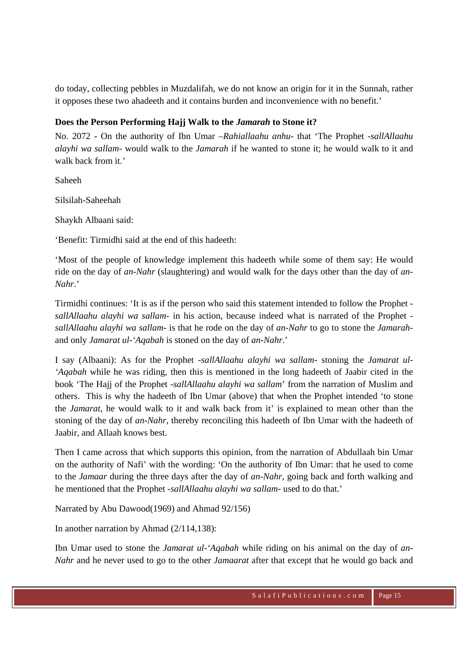do today, collecting pebbles in Muzdalifah, we do not know an origin for it in the Sunnah, rather it opposes these two ahadeeth and it contains burden and inconvenience with no benefit.'

### **Does the Person Performing Hajj Walk to the** *Jamarah* **to Stone it?**

No. 2072 - On the authority of Ibn Umar *–Rahiallaahu anhu-* that 'The Prophet *-sallAllaahu alayhi wa sallam-* would walk to the *Jamarah* if he wanted to stone it; he would walk to it and walk back from it.'

Saheeh

Silsilah-Saheehah

Shaykh Albaani said:

'Benefit: Tirmidhi said at the end of this hadeeth:

'Most of the people of knowledge implement this hadeeth while some of them say: He would ride on the day of *an-Nahr* (slaughtering) and would walk for the days other than the day of *an-Nahr*.'

Tirmidhi continues: 'It is as if the person who said this statement intended to follow the Prophet  *sallAllaahu alayhi wa sallam-* in his action, because indeed what is narrated of the Prophet  *sallAllaahu alayhi wa sallam-* is that he rode on the day of *an-Nahr* to go to stone the *Jamarah*and only *Jamarat ul-'Aqabah* is stoned on the day of *an-Nahr*.'

I say (Albaani): As for the Prophet *-sallAllaahu alayhi wa sallam-* stoning the *Jamarat ul- 'Aqabah* while he was riding, then this is mentioned in the long hadeeth of Jaabir cited in the book 'The Hajj of the Prophet *-sallAllaahu alayhi wa sallam*' from the narration of Muslim and others. This is why the hadeeth of Ibn Umar (above) that when the Prophet intended 'to stone the *Jamarat*, he would walk to it and walk back from it' is explained to mean other than the stoning of the day of *an-Nahr*, thereby reconciling this hadeeth of Ibn Umar with the hadeeth of Jaabir, and Allaah knows best.

Then I came across that which supports this opinion, from the narration of Abdullaah bin Umar on the authority of Nafi' with the wording: 'On the authority of Ibn Umar: that he used to come to the *Jamaar* during the three days after the day of *an-Nahr*, going back and forth walking and he mentioned that the Prophet *-sallAllaahu alayhi wa sallam-* used to do that.'

Narrated by Abu Dawood(1969) and Ahmad 92/156)

In another narration by Ahmad (2/114,138):

Ibn Umar used to stone the *Jamarat ul-'Aqabah* while riding on his animal on the day of *an-Nahr* and he never used to go to the other *Jamaarat* after that except that he would go back and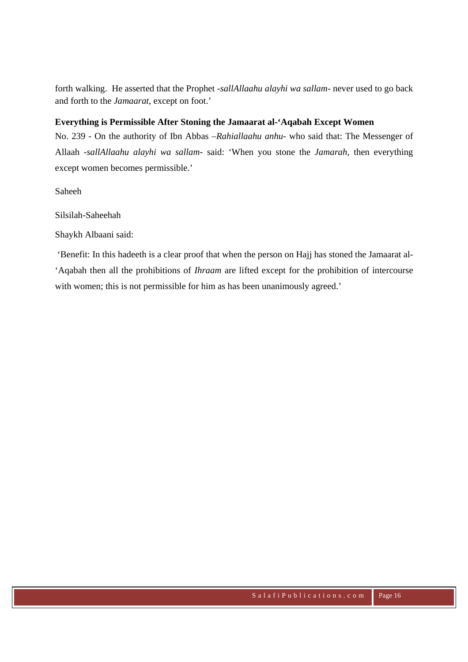forth walking. He asserted that the Prophet *-sallAllaahu alayhi wa sallam-* never used to go back and forth to the *Jamaarat*, except on foot.'

#### **Everything is Permissible After Stoning the Jamaarat al-'Aqabah Except Women**

No. 239 - On the authority of Ibn Abbas *–Rahiallaahu anhu-* who said that: The Messenger of Allaah *-sallAllaahu alayhi wa sallam-* said: 'When you stone the *Jamarah,* then everything except women becomes permissible.'

Saheeh

Silsilah-Saheehah

Shaykh Albaani said:

 'Benefit: In this hadeeth is a clear proof that when the person on Hajj has stoned the Jamaarat al- 'Aqabah then all the prohibitions of *Ihraam* are lifted except for the prohibition of intercourse with women; this is not permissible for him as has been unanimously agreed.'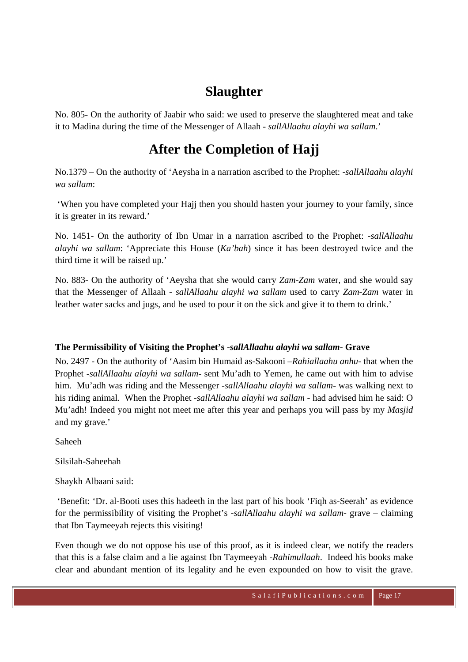# **Slaughter**

No. 805- On the authority of Jaabir who said: we used to preserve the slaughtered meat and take it to Madina during the time of the Messenger of Allaah *- sallAllaahu alayhi wa sallam*.'

## **After the Completion of Hajj**

No.1379 – On the authority of 'Aeysha in a narration ascribed to the Prophet: *-sallAllaahu alayhi wa sallam*:

 'When you have completed your Hajj then you should hasten your journey to your family, since it is greater in its reward.'

No. 1451- On the authority of Ibn Umar in a narration ascribed to the Prophet: *-sallAllaahu alayhi wa sallam*: 'Appreciate this House (*Ka'bah*) since it has been destroyed twice and the third time it will be raised up.'

No. 883- On the authority of 'Aeysha that she would carry *Zam-Zam* water, and she would say that the Messenger of Allaah *- sallAllaahu alayhi wa sallam* used to carry *Zam-Zam* water in leather water sacks and jugs, and he used to pour it on the sick and give it to them to drink.'

### **The Permissibility of Visiting the Prophet's** *-sallAllaahu alayhi wa sallam-* **Grave**

No. 2497 - On the authority of 'Aasim bin Humaid as-Sakooni *–Rahiallaahu anhu-* that when the Prophet -*sallAllaahu alayhi wa sallam-* sent Mu'adh to Yemen, he came out with him to advise him. Mu'adh was riding and the Messenger *-sallAllaahu alayhi wa sallam-* was walking next to his riding animal. When the Prophet *-sallAllaahu alayhi wa sallam -* had advised him he said: O Mu'adh! Indeed you might not meet me after this year and perhaps you will pass by my *Masjid* and my grave.'

Saheeh

Silsilah-Saheehah

Shaykh Albaani said:

 'Benefit: 'Dr. al-Booti uses this hadeeth in the last part of his book 'Fiqh as-Seerah' as evidence for the permissibility of visiting the Prophet's *-sallAllaahu alayhi wa sallam-* grave – claiming that Ibn Taymeeyah rejects this visiting!

Even though we do not oppose his use of this proof, as it is indeed clear, we notify the readers that this is a false claim and a lie against Ibn Taymeeyah *-Rahimullaah*. Indeed his books make clear and abundant mention of its legality and he even expounded on how to visit the grave.